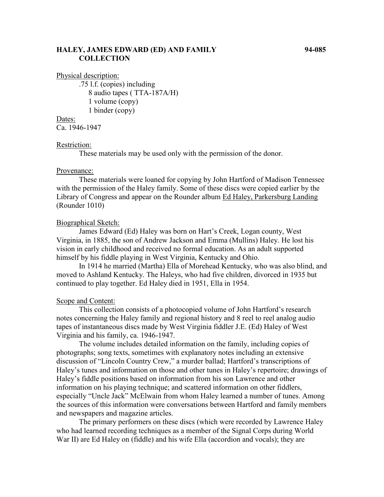# **HALEY, JAMES EDWARD (ED) AND FAMILY 94-085 COLLECTION**

Physical description:

.75 l.f. (copies) including 8 audio tapes ( TTA-187A/H) 1 volume (copy) 1 binder (copy)

### Dates:

Ca. 1946-1947

### Restriction:

These materials may be used only with the permission of the donor.

#### Provenance:

These materials were loaned for copying by John Hartford of Madison Tennessee with the permission of the Haley family. Some of these discs were copied earlier by the Library of Congress and appear on the Rounder album Ed Haley, Parkersburg Landing (Rounder 1010)

#### Biographical Sketch:

James Edward (Ed) Haley was born on Hart's Creek, Logan county, West Virginia, in 1885, the son of Andrew Jackson and Emma (Mullins) Haley. He lost his vision in early childhood and received no formal education. As an adult supported himself by his fiddle playing in West Virginia, Kentucky and Ohio.

In 1914 he married (Martha) Ella of Morehead Kentucky, who was also blind, and moved to Ashland Kentucky. The Haleys, who had five children, divorced in 1935 but continued to play together. Ed Haley died in 1951, Ella in 1954.

## Scope and Content:

This collection consists of a photocopied volume of John Hartford's research notes concerning the Haley family and regional history and 8 reel to reel analog audio tapes of instantaneous discs made by West Virginia fiddler J.E. (Ed) Haley of West Virginia and his family, ca. 1946-1947.

The volume includes detailed information on the family, including copies of photographs; song texts, sometimes with explanatory notes including an extensive discussion of "Lincoln Country Crew," a murder ballad; Hartford's transcriptions of Haley's tunes and information on those and other tunes in Haley's repertoire; drawings of Haley's fiddle positions based on information from his son Lawrence and other information on his playing technique; and scattered information on other fiddlers, especially "Uncle Jack" McElwain from whom Haley learned a number of tunes. Among the sources of this information were conversations between Hartford and family members and newspapers and magazine articles.

The primary performers on these discs (which were recorded by Lawrence Haley who had learned recording techniques as a member of the Signal Corps during World War II) are Ed Haley on (fiddle) and his wife Ella (accordion and vocals); they are